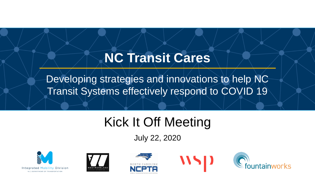## **NC Transit Cares**

Developing strategies and innovations to help NC Transit Systems effectively respond to COVID 19

# Kick It Off Meeting

July 22, 2020









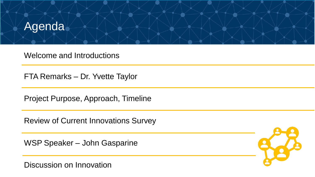

Welcome and Introductions

FTA Remarks – Dr. Yvette Taylor

Project Purpose, Approach, Timeline

Review of Current Innovations Survey

WSP Speaker – John Gasparine

Discussion on Innovation

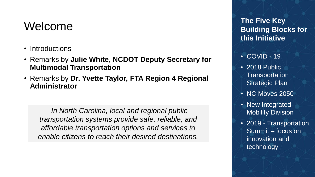#### Welcome

- Introductions
- Remarks by **Julie White, NCDOT Deputy Secretary for Multimodal Transportation**
- Remarks by **Dr. Yvette Taylor, FTA Region 4 Regional Administrator**

*In North Carolina, local and regional public transportation systems provide safe, reliable, and affordable transportation options and services to enable citizens to reach their desired destinations.* 

**The Five Key Building Blocks for this Initiative**

- COVID 19
- 2018 Public **Transportation** Strategic Plan
- NC Moves 2050
- New Integrated Mobility Division
- 2019 Transportation Summit – focus on innovation and technology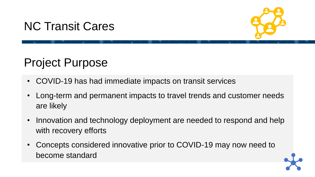#### NC Transit Cares



### Project Purpose

- COVID-19 has had immediate impacts on transit services
- Long-term and permanent impacts to travel trends and customer needs are likely
- Innovation and technology deployment are needed to respond and help with recovery efforts
- Concepts considered innovative prior to COVID-19 may now need to become standard

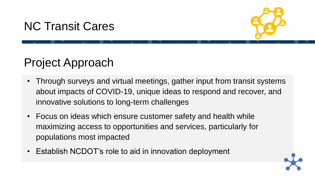#### NC Transit Cares



#### Project Approach

- Through surveys and virtual meetings, gather input from transit systems about impacts of COVID-19, unique ideas to respond and recover, and innovative solutions to long-term challenges
- Focus on ideas which ensure customer safety and health while maximizing access to opportunities and services, particularly for populations most impacted
- Establish NCDOT's role to aid in innovation deployment

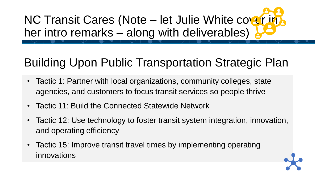NC Transit Cares (Note – let Julie White cover in her intro remarks – along with deliverables)

# Building Upon Public Transportation Strategic Plan

- Tactic 1: Partner with local organizations, community colleges, state agencies, and customers to focus transit services so people thrive
- Tactic 11: Build the Connected Statewide Network
- Tactic 12: Use technology to foster transit system integration, innovation, and operating efficiency
- Tactic 15: Improve transit travel times by implementing operating innovations

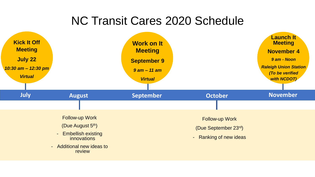#### NC Transit Cares 2020 Schedule

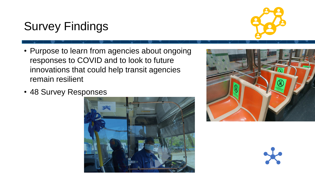## Survey Findings

- Purpose to learn from agencies about ongoing responses to COVID and to look to future innovations that could help transit agencies remain resilient
- 48 Survey Responses





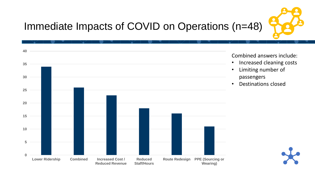

## Immediate Impacts of COVID on Operations (n=48)

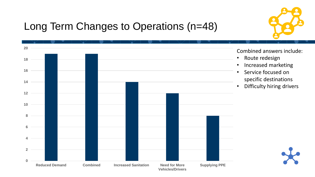

#### Long Term Changes to Operations (n=48)

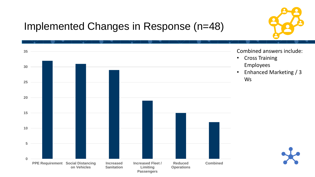

#### Implemented Changes in Response (n=48)

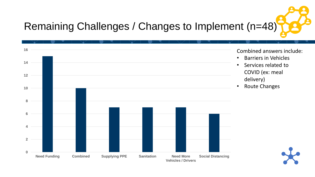# Remaining Challenges / Changes to Implement (n=48)

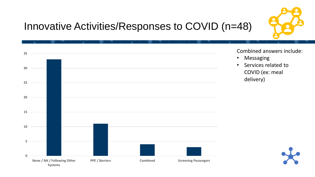

#### Innovative Activities/Responses to COVID (n=48)

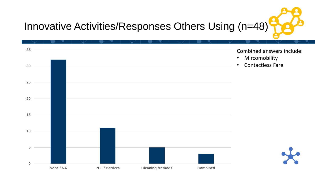

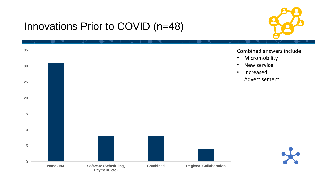#### Innovations Prior to COVID (n=48)

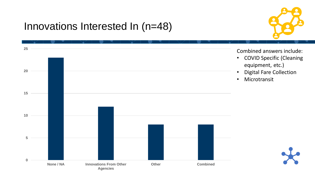#### Innovations Interested In (n=48)

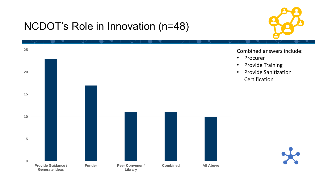#### NCDOT's Role in Innovation (n=48)



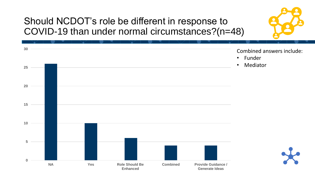#### Should NCDOT's role be different in response to COVID-19 than under normal circumstances?(n=48)

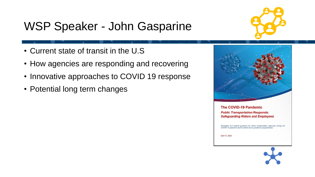## WSP Speaker - John Gasparine



- Current state of transit in the U.S
- How agencies are responding and recovering
- Innovative approaches to COVID 19 response
- Potential long term changes



**The COVID-19 Pandemic Public Transportation Responds: Safeguarding Riders and Employees** 

Strategies and tactical guidance for public transportation agencies during the COVID-19 pandemic and to inform future pandemic preparedness

April 13, 2020

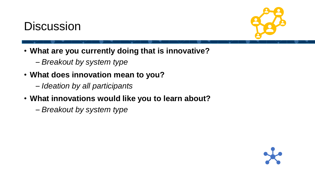#### **Discussion**



- **What are you currently doing that is innovative?**
	- *Breakout by system type*
- **What does innovation mean to you?**
	- *Ideation by all participants*
- **What innovations would like you to learn about?**
	- *Breakout by system type*